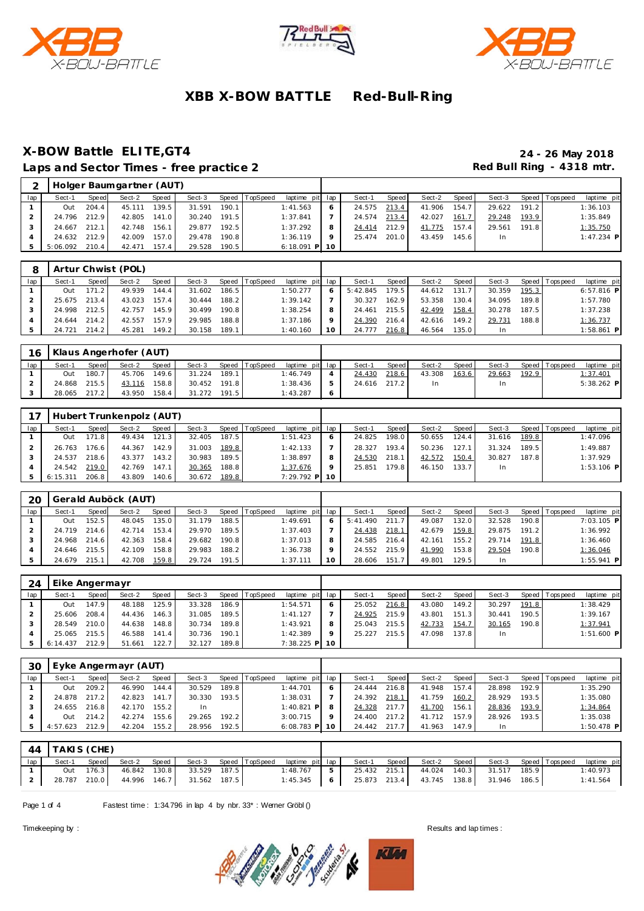





### **X-BOW Battle ELITE,GT4 24 - 26 May 2018** Laps and Sector Times - free practice 2 **Accord Paradele Accord Paradele Accord Paradele Accord Paradele Accord Paradele Accord Paradele Accord Paradele Accord Paradele Accord Paradele Accord Paradele Accord Paradele Accor**

|     |              |       | Holger Baumgartner (AUT) |       |        |       |          |                 |         |        |       |        |       |        |       |                 |              |
|-----|--------------|-------|--------------------------|-------|--------|-------|----------|-----------------|---------|--------|-------|--------|-------|--------|-------|-----------------|--------------|
| lap | Sect-1       | Speed | Sect-2                   | Speed | Sect-3 | Speed | TopSpeed | laptime pit lap |         | Sect-1 | Speed | Sect-2 | Speed | Sect-3 |       | Speed Tops peed | laptime pit  |
|     | Out          | 204.4 | 45.111                   | 139.5 | 31.591 | 190.1 |          | 1:41.563        |         | 24.575 | 213.4 | 41.906 | 154.7 | 29.622 | 191.2 |                 | 1:36.103     |
|     | 24.796 212.9 |       | 42.805                   | 141.0 | 30.240 | 191.5 |          | 1:37.841        |         | 24.574 | 213.4 | 42.027 | 161.7 | 29.248 | 193.9 |                 | 1:35.849     |
|     | 24.667       | 212.1 | 42.748                   | 156.1 | 29.877 | 192.5 |          | 1:37.292        |         | 24.414 | 212.9 | 41.775 | 157.4 | 29.561 | 191.8 |                 | 1:35.750     |
|     | 24.632 212.9 |       | 42.009                   | 157.0 | 29.478 | 190.8 |          | 1:36.119        | $\circ$ | 25.474 | 201.0 | 43.459 | 145.6 | In.    |       |                 | $1:47.234$ P |
|     | 5:06.092     | 210.4 | 42.471                   | 157.4 | 29.528 | 190.5 |          | $6:18.091$ P 10 |         |        |       |        |       |        |       |                 |              |

|     |        |       | Artur Chwist (POL) |        |        |       |                |                 |    |          |         |        |        |        |       |                 |              |
|-----|--------|-------|--------------------|--------|--------|-------|----------------|-----------------|----|----------|---------|--------|--------|--------|-------|-----------------|--------------|
| lap | Sect-1 | Speed | Sect-2             | Speed  | Sect-3 |       | Speed TopSpeed | laptime pit lap |    | Sect-1   | Speed I | Sect-2 | Speed  | Sect-3 |       | Speed Tops peed | laptime pit  |
|     | Out    | 171.2 | 49.939             | 144.4  | 31.602 | 186.5 |                | 1:50.277        |    | 5:42.845 | 179.5   | 44.612 | 131.7  | 30.359 | 195.3 |                 | $6:57.816$ P |
|     | 25.675 | 213.4 | 43.023             | 157.4  | 30.444 | 188.2 |                | 1:39.142        |    | 30.327   | 162.9   | 53.358 | 130.4  | 34.095 | 189.8 |                 | 1:57.780     |
|     | 24.998 | 212.5 | 42.757             | 145.91 | 30.499 | 190.8 |                | 1:38.254        | 8  | 24.461   | 215.5   | 42.499 | 158.4  | 30.278 | 187.5 |                 | 1:37.238     |
|     | 24.644 | 214.2 | 42.557             | 157.9  | 29.985 | 188.8 |                | 1:37.186        |    | 24.390   | 216.4   | 42.616 | 149.2. | 29.731 | 188.8 |                 | 1:36.737     |
|     | 24.721 | 214.2 | 45.281             | 149.2  | 30.158 | 189.1 |                | 1:40.160        | 10 | 24.777   | 216.8   | 46.564 | 135.0  | In     |       |                 | $1:58.861$ P |

| 16  |        |       | Klaus Angerhofer (AUT) |       |        |       |                |                 |               |              |       |        |       |        |       |                 |                 |
|-----|--------|-------|------------------------|-------|--------|-------|----------------|-----------------|---------------|--------------|-------|--------|-------|--------|-------|-----------------|-----------------|
| lap | Sect-1 | Speed | Sect-2                 | Speed | Sect-3 |       | Speed TopSpeed | laptime pit lap |               | Sect-1       | Speed | Sect-2 | Speed | Sect-3 |       | Speed Tops peed | laptime pit     |
|     | Out    | 180.7 | 45.706                 | 149.6 | 31.224 | 189.1 |                | 1:46.749        |               | 24.430       | 218.6 | 43.308 | 163.6 | 29.663 | 192.9 |                 | <u>1:37.401</u> |
|     | 24.868 | 215.5 | 43.116                 | 158.8 | 30.452 | 191.8 |                | 1:38.436        | $\mathcal{D}$ | 24.616 217.2 |       | In     |       | In.    |       |                 | $5:38.262$ P    |
|     | 28.065 | 217.2 | 43.950                 | 158.4 | 31.272 | 191.5 |                | 1:43.287        | $\circ$       |              |       |        |       |        |       |                 |                 |

|     |          |       | Hubert Trunkenpolz (AUT) |       |        |       |                |                 |   |        |       |        |       |        |       |                 |              |  |
|-----|----------|-------|--------------------------|-------|--------|-------|----------------|-----------------|---|--------|-------|--------|-------|--------|-------|-----------------|--------------|--|
| lap | Sect-1   | Speed | Sect-2                   | Speed | Sect-3 |       | Speed TopSpeed | laptime pit lap |   | Sect-1 | Speed | Sect-2 | Speed | Sect-3 |       | Speed Tops peed | laptime pit  |  |
|     | Out      | 171.8 | 49.434                   | 121.3 | 32.405 | 187.5 |                | 1:51.423        | 6 | 24.825 | 198.0 | 50.655 | 124.4 | 31.616 | 189.8 |                 | 1:47.096     |  |
|     | 26.763   | 176.6 | 44.367                   | 142.9 | 31.003 | 189.8 |                | 1:42.133        |   | 28.327 | 193.4 | 50.236 | 127.1 | 31.324 | 189.5 |                 | 1:49.887     |  |
|     | 24.537   | 218.6 | 43.377                   | 143.2 | 30.983 | 189.5 |                | 1:38.897        | 8 | 24.530 | 218.1 | 42.572 | 150.4 | 30.827 | 187.8 |                 | 1:37.929     |  |
|     | 24.542   | 219.0 | 42.769                   | 147.1 | 30.365 | 188.8 |                | 1:37.676        | Q | 25.851 | 179.8 | 46.150 | 133.7 | In.    |       |                 | $1:53.106$ P |  |
|     | 6:15.311 | 206.8 | 43.809                   | 140.6 | 30.672 | 189.8 |                | 7:29.792 P 10   |   |        |       |        |       |        |       |                 |              |  |

| 20  |        |       | Gerald Auböck (AUT) |       |        |        |                |                 |                 |          |       |        |                    |        |       |                |              |  |
|-----|--------|-------|---------------------|-------|--------|--------|----------------|-----------------|-----------------|----------|-------|--------|--------------------|--------|-------|----------------|--------------|--|
| lap | Sect-1 | Speed | Sect-2              | Speed | Sect-3 |        | Speed TopSpeed | laptime pit lap |                 | Sect-1   | Speed | Sect-2 | Speed              | Sect-3 |       | Speed Topspeed | laptime pit  |  |
|     | Out    | 52.5  | 48.045              | 135.0 | 31.179 | 188.5  |                | 1:49.691        | -6              | 5:41.490 | 211.7 | 49.087 | 132.0              | 32.528 | 190.8 |                | 7:03.105 P   |  |
|     | 24.719 | 214.6 | 42.714              | 153.4 | 29.970 | 189.51 |                | 1:37.403        |                 | 24.438   | 218.1 | 42.679 | 159.8              | 29.875 | 191.2 |                | 1:36.992     |  |
|     | 24.968 | 214.6 | 42.363              | 158.4 | 29.682 | 190.8  |                | 1:37.013        | 8               | 24.585   | 216.4 | 42.161 | 155.2 <sub>1</sub> | 29.714 | 191.8 |                | 1:36.460     |  |
|     | 24.646 | 215.5 | 42.109              | 158.8 | 29.983 | 188.2  |                | 1:36.738        | 9               | 24.552   | 215.9 | 41.990 | 153.8              | 29.504 | 190.8 |                | 1:36.046     |  |
|     | 24.679 | 215.1 | 42.708              | 159.8 | 29.724 | 191.5  |                | 1:37.111        | 10 <sup>°</sup> | 28.606   | 151.7 | 49.801 | 129.5              |        |       |                | $1:55.941$ P |  |

| 24  | ı Eike Angermayr |       |        |              |        |       |                |                 |   |        |       |        |       |        |       |                |              |
|-----|------------------|-------|--------|--------------|--------|-------|----------------|-----------------|---|--------|-------|--------|-------|--------|-------|----------------|--------------|
| lap | Sect-1           | Speed | Sect-2 | <b>Speed</b> | Sect-3 |       | Speed TopSpeed | laptime pit lap |   | Sect-1 | Speed | Sect-2 | Speed | Sect-3 |       | Speed Topspeed | laptime pit  |
|     | Out              | 147.9 | 48.188 | 125.9        | 33.328 | 186.9 |                | 1:54.571        |   | 25.052 | 216.8 | 43.080 | 149.2 | 30.297 | 191.8 |                | 1:38.429     |
|     | 25.606           | 208.4 | 44.436 | 146.3        | 31.085 | 189.5 |                | 1:41.127        |   | 24.925 | 215.9 | 43.801 | 151.3 | 30.441 | 190.5 |                | 1:39.167     |
|     | 28.549           | 210.0 | 44.638 | 148.8        | 30.734 | 189.8 |                | 1:43.921        | 8 | 25.043 | 215.5 | 42.733 | 154.7 | 30.165 | 190.8 |                | 1:37.941     |
|     | 25.065           | 215.5 | 46.588 | 141.4        | 30.736 | 190.1 |                | 1:42.389        |   | 25.227 | 215.5 | 47.098 | 137.8 | In.    |       |                | $1:51.600$ P |
|     | 6:14.437         | 212.9 | 51.661 | 122.7        | 32.127 | 189.8 |                | 7:38.225 P 10   |   |        |       |        |       |        |       |                |              |

| 30  |          |       | Eyke Angermayr (AUT) |       |        |       |                  |                 |         |        |       |        |       |        |       |                   |              |
|-----|----------|-------|----------------------|-------|--------|-------|------------------|-----------------|---------|--------|-------|--------|-------|--------|-------|-------------------|--------------|
| lap | Sect-1   | Speed | Sect-2               | Speed | Sect-3 |       | Speed   TopSpeed | laptime pit lap |         | Sect-1 | Speed | Sect-2 | Speed | Sect-3 |       | Speed   Tops peed | laptime pit  |
|     | Out      | 209.2 | 46.990               | 144.4 | 30.529 | 189.8 |                  | 1:44.701        | 6       | 24.444 | 216.8 | 41.948 | 157.4 | 28.898 | 192.9 |                   | 1:35.290     |
|     | 24.878   | 217.2 | 42.823               | 141.7 | 30.330 | 193.5 |                  | 1:38.031        |         | 24.392 | 218.1 | 41.759 | 160.2 | 28.929 | 193.5 |                   | 1:35.080     |
|     | 24.655   | 216.8 | 42.170               | 155.2 | In     |       |                  | $1:40.821$ P    |         | 24.328 | 217.7 | 41.700 | 156.1 | 28.836 | 193.9 |                   | 1:34.864     |
|     | Out      | 214.2 | 42.274               | 155.6 | 29.265 | 192.2 |                  | 3:00.715        | $\circ$ | 24.400 | 217.2 | 41.712 | 157.9 | 28.926 | 193.5 |                   | 1:35.038     |
|     | 4:57.623 | 212.9 | 42.204               | 155.2 | 28.956 | 192.5 |                  | $6:08.783$ P    | 10      | 24.442 | 217.7 | 41.963 | 147.9 | In.    |       |                   | $1:50.478$ P |

|     | 44   TAKIS (CHE) |           |                    |                                        |  |                                                   |        |                                          |  |  |             |
|-----|------------------|-----------|--------------------|----------------------------------------|--|---------------------------------------------------|--------|------------------------------------------|--|--|-------------|
| lap | Sect-1           |           | Speed Sect-2 Speed |                                        |  | Sect-3 Speed TopSpeed laptime pit lap             | Sect-1 | Speed Sect-2 Speed Sect-3 Speed Topspeed |  |  | laptime pit |
|     |                  | Out 176.3 | 46.842 130.8       | 33.529 187.5                           |  | $1:48.767$ 5                                      |        | 25.432 215.1 44.024 140.3 31.517 185.9   |  |  | 1:40.973    |
|     |                  |           |                    | 28.787 210.0 44.996 146.7 31.562 187.5 |  | 1:45.345 6 25.873 213.4 43.745 138.8 31.946 186.5 |        |                                          |  |  | 1:41.564    |

Page 1 of 4 Fastest time: 1:34.796 in lap 4 by nbr. 33\*: Werner Gröbl ()

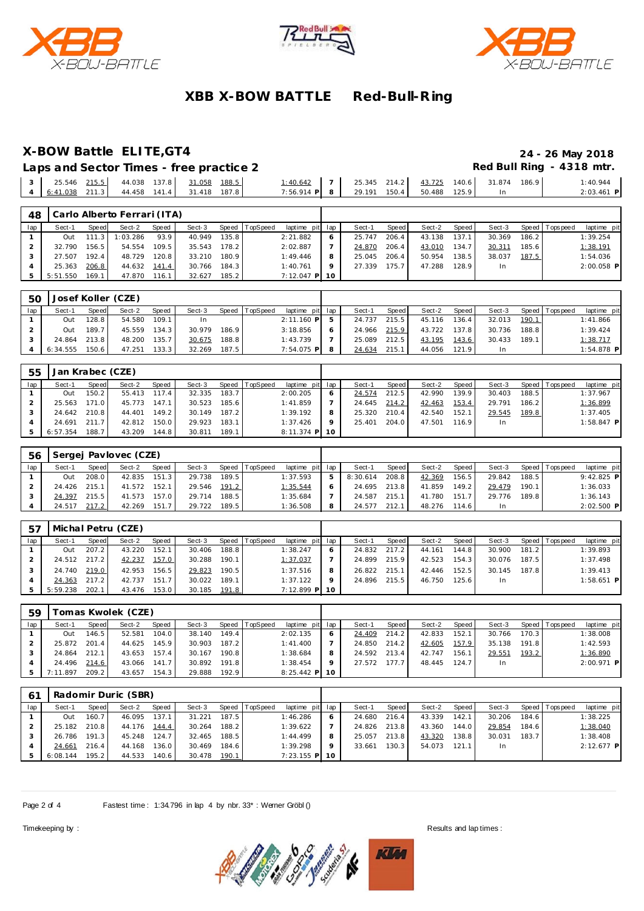





### **X-BOW Battle ELITE,GT4 24 - 26 May 2018**

Laps and Sector Times - free practice 2 **Accord Paradese Accord Paradese Accord Paradese Accord Paradese Accord P** 

| 25.546           | 215.5 | 44.038 | 137.8 | 31.058              | 188.5 | :40.642        | 25.345 214.2 | 43.725 | 140.6 | 31.874 | 186.9 | 40.944     |
|------------------|-------|--------|-------|---------------------|-------|----------------|--------------|--------|-------|--------|-------|------------|
| $6:41.038$ 211.3 |       |        |       | 44.458 141.4 31.418 | 187.8 | $7:56.914$ P 8 | 29.191 150.4 | 50.488 | 125.9 |        |       | 2:03.461 P |

| 48  |          |                  | Carlo Alberto Ferrari (ITA) |       |        |       |          |                 |        |       |        |       |        |                    |                |              |
|-----|----------|------------------|-----------------------------|-------|--------|-------|----------|-----------------|--------|-------|--------|-------|--------|--------------------|----------------|--------------|
| lap | Sect-1   | Speed            | Sect-2                      | Speed | Sect-3 | Speed | TopSpeed | laptime pit lap | Sect-1 | Speed | Sect-2 | Speed | Sect-3 |                    | Speed Topspeed | laptime pit  |
|     | Out      | 111<br>$\cdot$ 3 | 1:03.286                    | 93.9  | 40.949 | 135.8 |          | 2:21.882        | 25.747 | 206.4 | 43.138 | 137.1 | 30.369 | 186.2 <sub>1</sub> |                | 1:39.254     |
|     | 32.790   | 156.5            | 54.554                      | 109.5 | 35.543 | 178.2 |          | 2:02.887        | 24.870 | 206.4 | 43.010 | 134.7 | 30.311 | 185.6              |                | 1:38.191     |
|     | 27.507   | 192.4            | 48.729                      | 120.8 | 33.210 | 180.9 |          | 1:49.446        | 25.045 | 206.4 | 50.954 | 138.5 | 38.037 | 187.5              |                | 1:54.036     |
|     | 25.363   | 206.8            | 44.632                      | 141.4 | 30.766 | 184.3 |          | 1:40.761        | 27.339 | 175.7 | 47.288 | 128.9 | In.    |                    |                | $2:00.058$ P |
|     | 5:51.550 | 169.11           | 47.870                      | 116.1 | 32.627 | 185.2 |          | 7:12.047 P 10   |        |       |        |       |        |                    |                |              |

| 50  |          |       | Josef Koller (CZE) |              |        |       |                |                 |    |        |       |        |       |        |       |                |              |
|-----|----------|-------|--------------------|--------------|--------|-------|----------------|-----------------|----|--------|-------|--------|-------|--------|-------|----------------|--------------|
| lap | Sect-′   | Speed | Sect-2             | <b>Speed</b> | Sect-3 |       | Speed TopSpeed | laptime pit lap |    | Sect-1 | Speed | Sect-2 | Speed | Sect-3 |       | Speed Topspeed | laptime pit  |
|     | Out      | 28.8  | 54.580             | 109.1        | 1n     |       |                | $2:11.160$ P    | -5 | 24.737 | 215.5 | 45.116 | 136.4 | 32.013 | 190.1 |                | 1:41.866     |
|     | Out      | 189.7 | 45.559             | 134.3        | 30.979 | 186.9 |                | 3:18.856        | O  | 24.966 | 215.9 | 43.722 | 137.8 | 30.736 | 188.8 |                | 1:39.424     |
|     | 24.864   | 213.8 | 48.200             | 135.7        | 30.675 | 188.8 |                | 1:43.739        |    | 25.089 | 212.5 | 43.195 | 143.6 | 30.433 | 189.1 |                | 1:38.717     |
|     | 6:34.555 | 150.6 | 47.251             | 133.3        | 32.269 | 187.5 |                | $7:54.075$ P    |    | 24.634 | 215.1 | 44.056 | 121.9 | In.    |       |                | $1:54.878$ P |

| 55  | Jan Krabec (CZE) |       |        |       |        |       |                |                 |          |        |       |        |                    |        |       |                 |              |
|-----|------------------|-------|--------|-------|--------|-------|----------------|-----------------|----------|--------|-------|--------|--------------------|--------|-------|-----------------|--------------|
| lap | Sect-1           | Speed | Sect-2 | Speed | Sect-3 |       | Speed TopSpeed | laptime pit     | lap      | Sect-1 | Speed | Sect-2 | Speed              | Sect-3 |       | Speed Tops peed | laptime pit  |
|     | Out              | 150.2 | 55.413 | 117.4 | 32.335 | 183.7 |                | 2:00.205        | O        | 24.574 | 212.5 | 42.990 | 139.9 <sub>1</sub> | 30.403 | 188.5 |                 | 1:37.967     |
|     | 25.563           | 1710  | 45.773 | 147.1 | 30.523 | 185.6 |                | 1:41.859        |          | 24.645 | 214.2 | 42.463 | 153.4              | 29.791 | 186.2 |                 | 1:36.899     |
|     | 24.642           | 210.8 | 44.401 | 149.2 | 30.149 | 187.2 |                | 1:39.192        | 8        | 25.320 | 210.4 | 42.540 | 152.7              | 29.545 | 189.8 |                 | 1:37.405     |
|     | 24.691           | 211.7 | 42.812 | 150.0 | 29.923 | 183.1 |                | 1:37.426        | $\Omega$ | 25.401 | 204.0 | 47.501 | 116.9              | In     |       |                 | $1:58.847$ P |
|     | 6:57.354         | 188.7 | 43.209 | 144.8 | 30.811 | 189.1 |                | $8:11.374$ P 10 |          |        |       |        |                    |        |       |                 |              |

| 56  |        |       | 'Sergej Pavlovec (CZE) |       |        |       |                |                 |               |          |       |        |        |        |       |                 |              |
|-----|--------|-------|------------------------|-------|--------|-------|----------------|-----------------|---------------|----------|-------|--------|--------|--------|-------|-----------------|--------------|
| lap | Sect-1 | Speed | Sect-2                 | Speed | Sect-3 |       | Speed TopSpeed | laptime pit lap |               | Sect-1   | Speed | Sect-2 | Speed, | Sect-3 |       | Speed Tops peed | laptime pit  |
|     | Out    | 208.0 | 42.835                 | 151.3 | 29.738 | 189.5 |                | 1:37.593        | $\mathcal{P}$ | 8:30.614 | 208.8 | 42.369 | 156.5  | 29.842 | 188.5 |                 | $9:42.825$ P |
|     | 24.426 | 215.1 | 41.572                 | 152.1 | 29.546 | 191.2 |                | 1:35.544        | 6             | 24.695   | 213.8 | 41.859 | 149.2  | 29.479 | 190.1 |                 | 1:36.033     |
|     | 24.397 | 215.5 | 41.573                 | 157.0 | 29.714 | 188.5 |                | 1:35.684        |               | 24.587   | 215.1 | 41.780 | 151.7  | 29.776 | 189.8 |                 | 1:36.143     |
|     | 24.517 | 217.2 | 42.269                 | 151.7 | 29.722 | 189.5 |                | 1:36.508        | 8             | 24.577   | 212.1 | 48.276 | 114.6  |        |       |                 | $2:02.500$ P |

| .57 |              |       | Michal Petru (CZE) |       |        |       |                |                 |   |              |       |        |         |        |       |                   |              |  |
|-----|--------------|-------|--------------------|-------|--------|-------|----------------|-----------------|---|--------------|-------|--------|---------|--------|-------|-------------------|--------------|--|
| lap | Sect-1       | Speed | Sect-2             | Speed | Sect-3 |       | Speed TopSpeed | laptime pit lap |   | Sect-1       | Speed | Sect-2 | Speed I | Sect-3 |       | Speed   Tops peed | laptime pit  |  |
|     | Out          | 207.2 | 43.220             | 152.1 | 30.406 | 188.8 |                | 1:38.247        | 6 | 24.832 217.2 |       | 44.161 | 144.8   | 30.900 | 181.2 |                   | 1:39.893     |  |
|     | 24.512 217.2 |       | 42.237             | 157.0 | 30.288 | 190.1 |                | 1:37.037        |   | 24.899       | 215.9 | 42.523 | 154.3   | 30.076 | 187.5 |                   | 1:37.498     |  |
|     | 24.740       | 219.0 | 42.953             | 156.5 | 29.823 | 190.5 |                | 1:37.516        | 8 | 26.822 215.1 |       | 42.446 | 152.5   | 30.145 | 187.8 |                   | 1:39.413     |  |
|     | 24.363       | 217.2 | 42.737             | 151.7 | 30.022 | 189.1 |                | 1:37.122        | Q | 24.896 215.5 |       | 46.750 | 125.6   | In.    |       |                   | $1:58.651$ P |  |
|     | 5:59.238     | 202.1 | 43.476             | 153.0 | 30.185 | 191.8 |                | 7:12.899 P 10   |   |              |       |        |         |        |       |                   |              |  |

| 59  |          |       | Fomas Kwolek (CZE) |              |        |       |                |                 |         |        |       |        |       |        |       |                 |              |
|-----|----------|-------|--------------------|--------------|--------|-------|----------------|-----------------|---------|--------|-------|--------|-------|--------|-------|-----------------|--------------|
| lap | Sect-1   | Speed | Sect-2             | <b>Speed</b> | Sect-3 |       | Speed TopSpeed | laptime pit lap |         | Sect-1 | Speed | Sect-2 | Speed | Sect-3 |       | Speed Tops peed | laptime pit  |
|     | Out      | 146.5 | 52.581             | 104.0        | 38.140 | 149.4 |                | 2:02.135        |         | 24.409 | 214.2 | 42.833 | 152.1 | 30.766 | 170.3 |                 | 1:38.008     |
|     | 25.872   | 201.4 | 44.625             | 145.9        | 30.903 | 187.2 |                | 1:41.400        |         | 24.850 | 214.2 | 42.605 | 157.9 | 35.138 | 191.8 |                 | 1:42.593     |
|     | 24.864   | 212.1 | 43.653             | 157.4        | 30.167 | 190.8 |                | 1:38.684        |         | 24.592 | 213.4 | 42.747 | 156.1 | 29.551 | 193.2 |                 | 1:36.890     |
|     | 24.496   | 214.6 | 43.066             | 141.7        | 30.892 | 191.8 |                | 1:38.454        | $\circ$ | 27.572 | 177.7 | 48.445 | 124.7 | In.    |       |                 | $2:00.971$ P |
|     | 7:11.897 | 209.2 | 43.657             | 154.3        | 29.888 | 192.9 |                | $8:25.442$ P 10 |         |        |       |        |       |        |       |                 |              |

| 61  |          |       | Radomir Duric (SBR) |       |        |       |                 |                 |     |        |       |        |       |        |       |                 |              |
|-----|----------|-------|---------------------|-------|--------|-------|-----------------|-----------------|-----|--------|-------|--------|-------|--------|-------|-----------------|--------------|
| lap | Sect-1   | Speed | Sect-2              | Speed | Sect-3 | Speed | <b>TopSpeed</b> | laptime pit     | lap | Sect-1 | Speed | Sect-2 | Speed | Sect-3 |       | Speed Tops peed | laptime pit  |
|     | Out      | 160.7 | 46.095              | 137.1 | 31.221 | 187.5 |                 | 1:46.286        | 6   | 24.680 | 216.4 | 43.339 | 142.1 | 30.206 | 184.6 |                 | 1:38.225     |
|     | 25.182   | 210.8 | 44.176              | 144.4 | 30.264 | 188.2 |                 | 1:39.622        |     | 24.826 | 213.8 | 43.360 | 144.0 | 29.854 | 184.6 |                 | 1:38.040     |
|     | 26.786   | 191.3 | 45.248              | 124.7 | 32.465 | 188.5 |                 | 1:44.499        | 8   | 25.057 | 213.8 | 43.320 | 138.8 | 30.031 | 183.7 |                 | 1:38.408     |
|     | 24.661   | 216.4 | 44.168              | 136.0 | 30.469 | 184.6 |                 | 1:39.298        | Q   | 33.661 | 130.3 | 54.073 | 121.1 | In.    |       |                 | $2:12.677$ P |
|     | 6:08.144 | 195.2 | 44.533              | 140.6 | 30.478 | 190.1 |                 | $7:23.155$ P 10 |     |        |       |        |       |        |       |                 |              |

Page 2 of 4 Fastest time: 1:34.796 in lap 4 by nbr. 33\*: Werner Gröbl ()

 $\overline{\phantom{a}}$ 

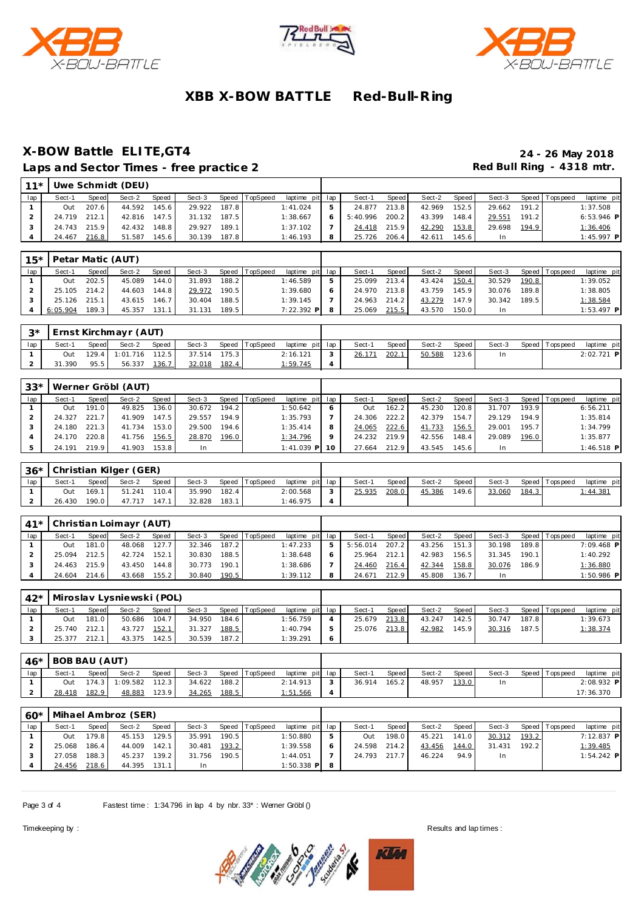





### **X-BOW Battle ELITE,GT4 24 - 26 May 2018** Laps and Sector Times - free practice 2 **Accord Paradele Accord Paradele Accord Paradele Accord Paradele Accord Paradele Accord Paradele Accord Paradele Accord Paradele Accord Paradele Accord Paradele Accord Paradele Accor**

| $11*$ |              |       | Uwe Schmidt (DEU) |       |        |       |                |                 |   |          |              |        |       |        |       |                 |              |
|-------|--------------|-------|-------------------|-------|--------|-------|----------------|-----------------|---|----------|--------------|--------|-------|--------|-------|-----------------|--------------|
| lap   | Sect-1       | Speed | Sect-2            | Speed | Sect-3 |       | Speed TopSpeed | laptime pit lap |   | Sect-1   | <b>Speed</b> | Sect-2 | Speed | Sect-3 |       | Speed Tops peed | laptime pit  |
|       | Out          | 207.6 | 44.592            | 145.6 | 29.922 | 187.8 |                | 1:41.024        |   | 24.877   | 213.8        | 42.969 | 152.5 | 29.662 | 191.2 |                 | 1:37.508     |
|       | 24.719 212.1 |       | 42.816            | 147.5 | 31.132 | 187.5 |                | 1:38.667        | 6 | 5:40.996 | 200.2        | 43.399 | 148.4 | 29.551 | 191.2 |                 | $6:53.946$ P |
|       | 24.743       | 215.9 | 42.432            | 148.8 | 29.927 | 189.1 |                | 1:37.102        |   | 24.418   | 215.9        | 42.290 | 153.8 | 29.698 | 194.9 |                 | 1:36.406     |
|       | 24.467       | 216.8 | 51.587            | 145.6 | 30.139 | 187.8 |                | 1:46.193        |   | 25.726   | 206.4        | 42.611 | 145.6 | In     |       |                 | $1:45.997$ P |

|                | 15*   Petar Matic (AUT) |       |              |       |              |       |                |                 |      |              |       |              |       |              |       |                   |              |
|----------------|-------------------------|-------|--------------|-------|--------------|-------|----------------|-----------------|------|--------------|-------|--------------|-------|--------------|-------|-------------------|--------------|
| lap            | Sect-1                  | Speed | Sect-2       | Speed | Sect-3       |       | Speed TopSpeed | laptime pit lap |      | Sect-1       | Speed | Sect-2       | Speed | Sect-3       |       | Speed   Tops peed | laptime pit  |
|                | Out                     | 202.5 | 45.089 144.0 |       | 31.893 188.2 |       |                | 1:46.589        | $-5$ | 25.099 213.4 |       | 43.424 150.4 |       | 30.529 190.8 |       |                   | 1:39.052     |
|                | 25.105 214.2            |       | 44.603 144.8 |       | 29.972       | 190.5 |                | 1:39.680        | - 6  | 24.970 213.8 |       | 43.759 145.9 |       | 30.076 189.8 |       |                   | 1:38.805     |
|                | 25.126 215.1            |       | 43.615 146.7 |       | 30.404       | 188.5 |                | $1:39.145$ 7    |      | 24.963 214.2 |       | 43.279       | 147.9 | 30.342       | 189.5 |                   | 1:38.584     |
| $\overline{4}$ | $6:05.904$ 189.3        |       | 45.357 131.1 |       | 31.131 189.5 |       |                | $7:22.392$ P 8  |      | 25.069 215.5 |       | 43.570       | 150.0 | In.          |       |                   | $1:53.497$ P |

|     |        |       | 3*   Ernst Kirchmayr (AUT) |       |        |       |                |                 |        |       |        |       |        |                 |              |
|-----|--------|-------|----------------------------|-------|--------|-------|----------------|-----------------|--------|-------|--------|-------|--------|-----------------|--------------|
| lap | Sect-1 | Speed | Sect-2                     | Speed | Sect-3 |       | Speed TopSpeed | laptime pit lap | Sect-1 | Speed | Sect-2 | Speed | Sect-3 | Speed Tops peed | laptime pit  |
|     | Out    |       | 129.4 1:01.716 112.5       |       | 37.514 | 175.3 |                | 2:16.121        | 26.171 | 202.1 | 50.588 | 123.6 |        |                 | $2:02.721$ P |
|     | .390   | 95.5  | 56.337                     | 136.7 | 32.018 | 182.4 |                | 1:59.745        |        |       |        |       |        |                 |              |

| $33*$ |        |       | Werner Gröbl (AUT) |       |        |       |                |                 |              |         |        |         |        |       |                 |              |
|-------|--------|-------|--------------------|-------|--------|-------|----------------|-----------------|--------------|---------|--------|---------|--------|-------|-----------------|--------------|
| lap   | Sect-1 | Speed | Sect-2             | Speed | Sect-3 |       | Speed TopSpeed | laptime pit lap | Sect-1       | Speed I | Sect-2 | Speed I | Sect-3 |       | Speed Tops peed | laptime pit  |
|       | Out    | 191.0 | 49.825             | 136.0 | 30.672 | 194.2 |                | 1:50.642        | Out          | 162.2   | 45.230 | 120.8   | 31.707 | 193.9 |                 | 6:56.211     |
|       | 24.327 | 221.7 | 41.909             | 147.5 | 29.557 | 194.9 |                | 1:35.793        | 24.306       | 222.2   | 42.379 | 154.7   | 29.129 | 194.9 |                 | 1:35.814     |
|       | 24.180 | 221.3 | 41.734             | 153.0 | 29.500 | 194.6 |                | 1:35.414        | 24.065       | 222.6   | 41.733 | 156.5   | 29.001 | 195.7 |                 | 1:34.799     |
|       | 24.170 | 220.8 | 41.756             | 156.5 | 28.870 | 196.0 |                | 1:34.796        | 24.232       | 219.9   | 42.556 | 148.4   | 29.089 | 196.0 |                 | 1:35.877     |
|       | 24.191 | 219.9 | 41.903             | 153.8 | In.    |       |                | $1:41.039$ P    | 27.664 212.9 |         | 43.545 | 145.6   |        |       |                 | $1:46.518$ P |

|     | 136* Christian Kilger (GER) |              |        |       |        |       |                |                 |        |       |        |         |        |       |                |                 |
|-----|-----------------------------|--------------|--------|-------|--------|-------|----------------|-----------------|--------|-------|--------|---------|--------|-------|----------------|-----------------|
| lap | Sect-1                      | <b>Speed</b> | Sect-2 | Speed | Sect-3 |       | Speed TopSpeed | laptime pit lap | Sect-1 | Speed | Sect-2 | Speed I | Sect-3 |       | Speed Topspeed | laptime pit     |
|     | Out                         | 169.1        | 51.241 | 110.4 | 35.990 | 182.4 |                | 2:00.568        | 25.935 | 208.0 | 45.386 | 149.6   | 33.060 | 184.3 |                | <u>l:44.381</u> |
|     | 26.430                      | 190.0        | 47.717 | 147.1 | 32.828 | 183.1 |                | 1:46.975        |        |       |        |         |        |       |                |                 |

| $41*$ |        |       | Christian Loimayr (AUT) |       |        |       |                |                 |   |          |              |        |       |        |       |                   |              |
|-------|--------|-------|-------------------------|-------|--------|-------|----------------|-----------------|---|----------|--------------|--------|-------|--------|-------|-------------------|--------------|
| lap   | Sect-1 | Speed | Sect-2                  | Speed | Sect-3 |       | Speed TopSpeed | laptime pit lap |   | Sect-1   | <b>Speed</b> | Sect-2 | Speed | Sect-3 |       | Speed   Tops peed | laptime pit  |
|       | Out    | 181.0 | 48.068                  | 127.7 | 32.346 | 187.2 |                | 1:47.233        | ь | 5:56.014 | 207.2        | 43.256 | 151.3 | 30.198 | 189.8 |                   | $7:09.468$ P |
|       | 25.094 | 212.5 | 42.724                  | 152.1 | 30.830 | 188.5 |                | 1:38.648        | 6 | 25.964   | 212.1        | 42.983 | 156.5 | 31.345 | 190.1 |                   | 1:40.292     |
|       | 24.463 | 215.9 | 43.450                  | 144.8 | 30.773 | 190.1 |                | 1:38.686        |   | 24.460   | 216.4        | 42.344 | 158.8 | 30.076 | 186.9 |                   | 1:36.880     |
|       | 24.604 | 214.6 | 43.668                  | 155.2 | 30.840 | 190.5 |                | 1:39.112        | 8 | 24.671   | 212.9        | 45.808 | 136.7 |        |       |                   | $1:50.986$ P |

|     | 42*   Miroslav Lysniewski (POL) |       |        |       |        |           |                |                 |     |        |       |        |       |        |       |                   |                 |
|-----|---------------------------------|-------|--------|-------|--------|-----------|----------------|-----------------|-----|--------|-------|--------|-------|--------|-------|-------------------|-----------------|
| lap | Sect-1                          | Speed | Sect-2 | Speed | Sect-3 |           | Speed TopSpeed | laptime pit lap |     | Sect-1 | Speed | Sect-2 | Speed | Sect-3 |       | Speed   Tops peed | laptime pit     |
|     | Out                             | 181.0 | 50.686 | 104.7 | 34.950 | 184.6     |                | 1:56.759        |     | 25.679 | 213.8 | 43.247 | 142.5 | 30.747 | 187.8 |                   | 1:39.673        |
|     | 25.740 212.1                    |       | 43.727 | 152.1 | 31.327 | 188.5     |                | 1:40.794        | - 5 | 25.076 | 213.8 | 42.982 | 145.9 | 30.316 | 187.5 |                   | <u>1:38.374</u> |
|     | 25.377                          | 212.1 | 43.375 | 142.5 | 30.539 | $187.2$ I |                | 1:39.291        | 6   |        |       |        |       |        |       |                   |                 |

| 46* | BOB BAU (AUT) |              |          |       |        |       |                |                 |        |       |        |       |        |                |             |
|-----|---------------|--------------|----------|-------|--------|-------|----------------|-----------------|--------|-------|--------|-------|--------|----------------|-------------|
| lap | Sect-1        | <b>Speed</b> | Sect-2   | Speed | Sect-3 |       | Speed TopSpeed | laptime pit lap | Sect-1 | Speed | Sect-2 | Speed | Sect-3 | Speed Topspeed | laptime pit |
|     | Out           | 174.3        | 1:09.582 | 112.3 | 34.622 | 188.2 |                | 2:14.913        | 36.914 | 165.2 | 48.957 | 133.0 |        |                | 2:08.932 P  |
|     | 28.418        | 182.9        | 48.883   | 123.9 | 34.265 | 188.5 |                | 1:51.566        |        |       |        |       |        |                | 17:36.370   |

| $60*$ | Mihael Ambroz (SER) |       |        |        |        |       |                |                 |  |              |         |        |       |        |       |                 |              |  |
|-------|---------------------|-------|--------|--------|--------|-------|----------------|-----------------|--|--------------|---------|--------|-------|--------|-------|-----------------|--------------|--|
| lap   | Sect-1              | Speed | Sect-2 | Speed  | Sect-3 |       | Speed TopSpeed | laptime pit lap |  | Sect-1       | Speed I | Sect-2 | Speed | Sect-3 |       | Speed Tops peed | laptime pit  |  |
|       | Out                 | 179.8 | 45.153 | 129.51 | 35.991 | 190.5 |                | 1:50.880        |  | Out          | 198.0   | 45.221 | 141.0 | 30.312 | 193.2 |                 | 7:12.837 P   |  |
|       | 25.068              | 186.4 | 44.009 | 142.1  | 30.481 | 193.2 |                | 1:39.558        |  | 24.598       | 214.2   | 43.456 | 144.0 | 31.431 | 192.2 |                 | 1:39.485     |  |
|       | 27.058              | 188.3 | 45.237 | 139.2  | 31.756 | 190.5 |                | 1:44.051        |  | 24.793 217.7 |         | 46.224 | 94.9  |        |       |                 | $1:54.242$ P |  |
|       | 24.456              | 218.6 | 44.395 | 131.1  | In.    |       |                | $1:50.338$ P    |  |              |         |        |       |        |       |                 |              |  |

Page 3 of 4 Fastest time: 1:34.796 in lap 4 by nbr. 33\*: Werner Gröbl ()